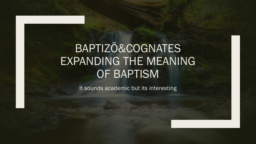# BAPTIZŌ&COGNATES EXPANDING THE MEANING OF BAPTISM

It sounds academic but its interesting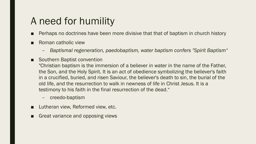### A need for humility

- Perhaps no doctrines have been more divisive that that of baptism in church history
- Roman catholic view
	- *Baptismal regeneration, paedobaptism, water baptism confers "Spirit Baptism"*
- Southern Baptist convention

"Christian baptism is the immersion of a believer in water in the name of the Father, the Son, and the Holy Spirit. It is an act of obedience symbolizing the believer's faith in a crucified, buried, and risen Saviour, the believer's death to sin, the burial of the old life, and the resurrection to walk in newness of life in Christ Jesus. It is a testimony to his faith in the final resurrection of the dead."

- creedo-baptism
- Lutheran view, Reformed view, etc.
- Great variance and opposing views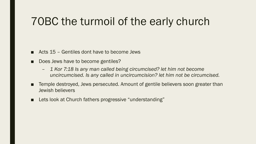## 70BC the turmoil of the early church

- Acts  $15$  Gentiles dont have to become Jews
- Does Jews have to become gentiles?
	- *1 Kor 7:18 Is any man called being circumcised? let him not become uncircumcised. Is any called in uncircumcision? let him not be circumcised.*
- Temple destroyed, Jews persecuted. Amount of gentile believers soon greater than Jewish believers
- Lets look at Church fathers progressive "understanding"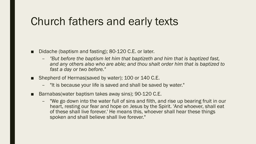### Church fathers and early texts

- Didache (baptism and fasting); 80-120 C.E. or later.
	- *"But before the baptism let him that baptizeth and him that is baptized fast, and any others also who are able; and thou shalt order him that is baptized to fast a day or two before."*
- Shepherd of Hermas(saved by water); 100 or 140 C.E.
	- "It is because your life is saved and shall be saved by water."
- Barnabas (water baptism takes away sins); 90-120 C.E.
	- "We go down into the water full of sins and filth, and rise up bearing fruit in our heart, resting our fear and hope on Jesus by the Spirit. 'And whoever, shall eat of these shall live forever.' He means this, whoever shall hear these things spoken and shall believe shall live forever."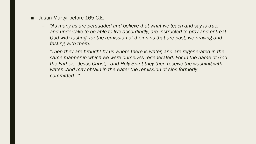- Justin Martyr before 165 C.E.
	- *"As many as are persuaded and believe that what we teach and say is true, and undertake to be able to live accordingly, are instructed to pray and entreat God with fasting, for the remission of their sins that are past, we praying and fasting with them.*
	- *"Then they are brought by us where there is water, and are regenerated in the same manner in which we were ourselves regenerated. For in the name of God the Father,...Jesus Christ,...and Holy Spirit they then receive the washing with water...And may obtain in the water the remission of sins formerly committed..."*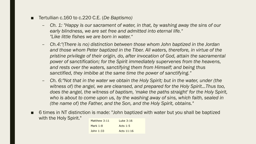- Tertullian c.160 to c.220 C.E. (*De Baptismo)*
	- *Ch. 1: "Happy is our sacrament of water, in that, by washing away the sins of our early blindness, we are set free and admitted into eternal life." "Like little fishes we are born in water."*
	- *Ch.4:"(There is no) distinction between those whom John baptized in the Jordan and those whom Peter baptized in the Tiber. All waters, therefore, in virtue of the pristine privilege of their origin, do, after invocation of God, attain the sacramental power of sanctification; for the Spirit immediately supervenes from the heavens, and rests over the waters, sanctifying them from Himself; and being thus sanctified, they imbibe at the same time the power of sanctifying."*
	- *Ch. 6:"Not that in the water we obtain the Holy Spirit; but in the water, under (the*  witness of) the angel, we are cleansed, and prepared for the Holy Spirit...Thus too, *does the angel, the witness of baptism, 'make the paths straight' for the Holy Spirit, who is about to come upon us, by the washing away of sins, which faith, sealed in (the name of) the Father, and the Son, and the Holy Spirit, obtains."*
- 6 times in NT distinction is made: "John baptized with water but you shall be baptized with the Holy Spirit."

| Matthew 3:11 | Luke 3:16    |
|--------------|--------------|
| Mark $1:8$   | Acts $1:5$   |
| $10hn$ 1:33  | Acts $11:16$ |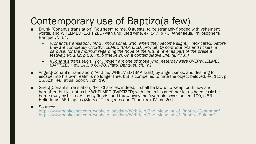### Contemporary use of Baptizo(a few)

- Drunk: (Conant's translation) "You seem to me, O guests, to be strangely flooded with vehement words, and WHELMED (BAPTIZED) with undiluted wine. ex. 147, p 70. Athenaeus, Philosopher's Banquet, V. 64.
	- *(Conant's translation) "And I know some, who, when they become slightly intoxicated, before they are completely OVERWHELMED (BAPTIZED) provide, by contributions and tickets, a carousal for the morrow; regarding the hope of the future revel as part of the present festivity. ex. 142, p 68. Philo (the Jew), On a contemplative Life, (ii, 478).]*
	- *[(Conant's translation) "For I myself am one of those who yesterday were OVERWHELMED (BAPTIZED). ex. 146, p 69-70. Plato, Banquet, ch. IV.]*
- Anger:[(Conant's translation) "And he, WHELMED (BAPTIZED) by anger, sinks; and desiring to escape into his own realm is no longer free, but is compelled to hate the object beloved. ex. 113, p 55. Achilles Tatius, book VI. ch. 19.
- Grief: [(Conant's translation) "For Charicles, indeed, it shall be lawful to weep, both now and hereafter; but let not us be WHELMED (BAPTIZED) with him in his grief, nor let us heedlessly be borne away by his tears, as by floods, and throw away the favorable occasion. ex. 109, p 53. Heliodorus, AEthioptics (Story of Theagenes and Chariclea), IV. ch. 20.]

#### ■ Sources:

[http://www.benkeshet.com/webhelp\\_baptism/WebHelp/The\\_Meaning\\_of\\_Baptizo/Conant.pdf](http://www.benkeshet.com/webhelp_baptism/WebHelp/The_Meaning_of_Baptizo/Conant.pdf) [http://www.benkeshet.com/webhelp\\_baptism/WebHelp/The\\_Meaning\\_of\\_Baptizo/Dale.pdf](http://www.benkeshet.com/webhelp_baptism/WebHelp/The_Meaning_of_Baptizo/Dale.pdf)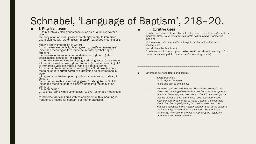### Schnabel, 'Language of Baptism', 218–20.

#### **I. Physical uses**

1. to put into a yielding substance (such as a liquid, e.g. water or dyes, or

the body of an animal); glosses: 'to plunge, to dip, to immerse'; 1a. to cleanse with water; gloss: 'to wash' (extended meaning of 1:

to

remove dirt by immersion in water)

1b. to make ceremonially clean; gloss: 'to purify' or 'to cleanse' (extended meaning of 1: to immerse in water symbolizing, or effecting,

the removal of moral or spiritual defilement); gloss of (later) ecclesiastical language: 'to baptize';

1c. to take water or wine by dipping a drinking vessel (in a stream, a fountain, a well, a bowl); gloss: 'to draw' (extended meaning of 1: to immerse a vessel in water or wine to obtain a drink);

1d. to perish by submersion in water; gloss: 'to drown' (extended meaning of 1: to suffer death by suffocation being immersed in water

[of persons]; or to disappear by submersion in water, to sink [of ships]);

1e. to put to death a living being; gloss: 'to slaughter' or 'to kill' (extended meaning of 1: to plunge a knife into the body of an animal or

a human being);

1f. to tinge fabric with a color; gloss: 'to dye' (extended meaning of 1:

to immerse fabric in liquid with color pigments); this meaning is frequently attested for baptein, but not for baptizein.

#### ■ II. Figurative uses

2. to be overpowered by an abstract reality, such as debts or arguments or thoughts; gloss: 'to be overwhelmed' or 'to be immersed' (transferred meaning

of 1: a person is "immersed" in intangible or abstract realities and consequently

--------------------------------------------------------------------------------------------------------------------------

overwhelmed by their force);

3. to become intoxicated; gloss: 'to be drunk' (transferred meaning of 1: a person is 'submerged' in the effects of intoxicating liquids).

Difference between Bapto and baptizō

- *Bapto:Definition to dip, dip in, immerse to dip into dye, to dye, colour*
- *Not to be confused with baptizo. The clearest example that shows the meaning of baptizo is a text from the Greek poet and physician Nicander, who lived about 200 B.C. It is a recipe for making pickles and is helpful because it uses both words. Nicander says that in order to make a pickle, the vegetable should first be 'dipped'(bapto) into boiling water and then 'baptised' (baptizo) in the vinegar solution. Both verbs concern the immersing of vegetables in a solution. But the first is temporary. The second, the act of baptising the vegetable, produces a permanent change.*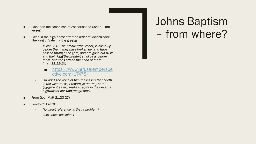- (Yohanan the cohen son of Zacharias the Cohen  $-$  the lesser)
- (Yeshua the high priest after the order of Melchizedek The king of Salem the greater)
	- *Micah 2:13 The breaker(the lesser) is come up before them: they have broken up, and have passed through the gate, and are gone out by it: and their king(the greater) shall pass before them, and the Lord on the head of them. (matt 11:11-15)*
		- [https://www.jerusalemperspe](https://www.jerusalemperspective.com/17478/) ctive.com/17478/
	- *Isa 40:3 The voice of him(the lesser) that crieth in the wilderness, Prepare ye the way of the Lord(the greater), make straight in the desert a highway for our God(the greater).*
- From God (Matt 21:23-27)
- Foretold? Eze 36.
	- *No direct reference: is that a problem?*
	- *Lets check out John 1*

# Johns Baptism – from where?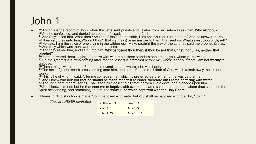## John 1

<sup>19</sup> And this is the record of John, when the Jews sent priests and Levites from Jerusalem to ask him, **Who art thou?**<br><sup>20</sup> And he confessed, and denied not; but confessed, I am not the Christ.<br><sup>21</sup> And they asked him, Wh

<sup>22</sup> Then said they unto him, Who art thou? that we may give an answer to them that sent us. What sayest thou of thyself?<br><sup>23</sup> He said, I am the voice of one crying in the wilderness, Make straight the way of the Lord, as

<sup>26</sup> John answered them, saying, I baptize with water: but there standeth one among you, whom ye know not;<br><sup>27</sup> He(the greater) it is, who coming after me(the lesser) is **preferred** before me, whose shoe's latchet **I am no** 

unloose.

<sup>28</sup> These things were done in Bethabara beyond Jordan, where John was baptizing.<br><sup>29</sup> The next day John seeth Jesus coming unto him, and saith, Behold the Lamb of God, which taketh away the sin of th world.

<sup>30</sup> This is he of whom I said, After me cometh a man which is preferred before me: for he was before me.

 $31$  And I knew him not: but that he should be made manifest to Israel, therefore am I come baptizing with water.<br> $32$  And John bare record, saying, I saw the Spirit descending from heaven like a dove, and it abode upon h

Spirit descending, and remaining on him, the same is he which baptizeth with the Holy Ghost.

6 times in NT distinction is made: "John baptized with water but you shall be baptized with the Holy Spirit."

| $-$ | They are NEVER conflated | Matthew 3:11 | Luke $3:16$ |
|-----|--------------------------|--------------|-------------|
|     |                          | Mark $1:8$   | Acts $1:5$  |
|     |                          | John $1:33$  | Acts 11:16  |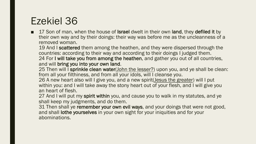### Ezekiel 36

■ 17 Son of man, when the house of **Israel** dwelt in their own land, they defiled it by their own way and by their doings: their way was before me as the uncleanness of a removed woman.

19 And I scattered them among the heathen, and they were dispersed through the countries: according to their way and according to their doings I judged them. 24 For I will take you from among the heathen, and gather you out of all countries, and will bring you into your own land.

25 Then will I sprinkle clean water(John the lesser?) upon you, and ye shall be clean: from all your filthiness, and from all your idols, will I cleanse you.

26 A new heart also will I give you, and a new spirit(Jesus the greater) will I put within you: and I will take away the stony heart out of your flesh, and I will give you an heart of flesh.

27 And I will put my spirit within you, and cause you to walk in my statutes, and ye shall keep my judgments, and do them.

31 Then shall ye remember your own evil ways, and your doings that were not good, and shall lothe yourselves in your own sight for your iniquities and for your abominations.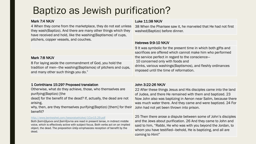### Baptizo as Jewish purification?

#### Mark 7:4 NKJV

4 When they come from the marketplace, they do not eat unless they wash(Baptizo). And there are many other things which they have received and hold, like the washing(Baptismos) of cups, pitchers, copper vessels, and couches.

#### Luke 11:38 NKJV

38 When the Pharisee saw it, he marveled that He had not first washed(Baptizo) before dinner.

#### Hebrews 9:9-10 NKJV

9 It was symbolic for the present time in which both gifts and sacrifices are offered which cannot make him who performed the service perfect in regard to the conscience— 10 concerned only with foods and drinks, various washings(Baptismos), and fleshly ordinances imposed until the time of reformation.

#### Mark 7:8 NKJV

8 For laying aside the commandment of God, you hold the tradition of men—the washing(Baptismos) of pitchers and cups, and many other such things you do."

#### 1 Corinthians 15:29? Proposed translation

Otherwise, what do they achieve, those, who themselves are purifying(Baptizo) [the

dead] for the benefit of the dead? If, actually, the dead are not arising,

why, then, are they themselves purifying (Baptizo) [them] for their benefit?

#### <http://www.benkeshet.com/besoratyehizkel/1Cor15.29.pdf>

Both βαπτιζόµενοι and βαπτίζονται are read in present tense, in indirect middle voice, which is effectively active with subject focus. Both verbs act on an implied object, the dead. The preposition ὑπέρ emphasizes reception of benefit by the dead.

#### John 3:22-26 NKJV

22 After these things Jesus and His disciples came into the land of Judea, and there He remained with them and baptized. 23 Now John also was baptizing in Aenon near Salim, because there was much water there. And they came and were baptized. 24 For John had not yet been thrown into prison.

25 Then there arose a dispute between some of John's disciples and the Jews about purification. 26 And they came to John and said to him, "Rabbi, He who was with you beyond the Jordan, to whom you have testified—behold, He is baptizing, and all are coming to Him!"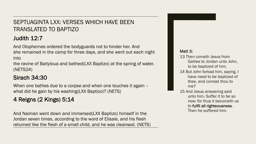### SEPTUAGINTA LXX: VERSES WHICH HAVE BEEN TRANSLATED TO BAPTIZO

### Judith 12:7

And Olophernes ordered the bodyguards not to hinder her. And she remained in the camp for three days, and she went out each night into

the ravine of Baityloua and bathed(LXX Baptizo) at the spring of water. (NETS24)

### Sirach 34:30

When one bathes due to a corpse and when one touches it again – what did he gain by his washing(LXX Baptizo)? (NETS)

### 4 Reigns (2 Kings) 5:14

And Naiman went down and immersed(LXX Baptizo) himself in the Jordan seven times, according to the word of Elisaie, and his flesh returned like the flesh of a small child, and he was cleansed. (NETS)

#### Matt 3:

- 13 Then cometh Jesus from Galilee to Jordan unto John, to be baptized of him.
- 14 But John forbad him, saying, I have need to be baptized of thee, and comest thou to me?
- 15 And Jesus answering said unto him, Suffer it to be so now: for thus it becometh us to fulfil all righteousness. Then he suffered him.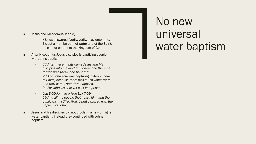- Jesus and Nicodemus(John 3)
	- <sup>5</sup> Jesus answered, Verily, verily, I say unto thee, Except a man be born of water and of the Spirit, he cannot enter into the kingdom of God.
- After Nicodemus Jesus disciples is baptizing people with Johns baptism
	- *22 After these things came Jesus and his disciples into the land of Judaea; and there he tarried with them, and baptized. 23 And John also was baptizing in Aenon near to Salim, because there was much water there: and they came, and were baptized. 24 For John was not yet cast into prison.*
	- *Luk 3:20 John in prison Luk 7:29: 29 And all the people that heard him, and the publicans, justified God, being baptized with the baptism of John.*
- Jesus and his disciples did not proclaim a new or higher water baptism, instead they continued with Johns baptism.

# No new universal water baptism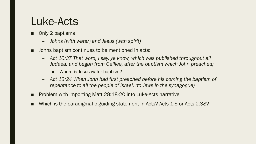### Luke-Acts

- Only 2 baptisms
	- *Johns (with water) and Jesus (with spirit)*
- Johns baptism continues to be mentioned in acts:
	- *Act 10:37 That word, I say, ye know, which was published throughout all Judaea, and began from Galilee, after the baptism which John preached;*
		- Where is Jesus water baptism?
	- *Act 13:24 When John had first preached before his coming the baptism of repentance to all the people of Israel. (to Jews in the synagogue)*
- Problem with importing Matt 28:18-20 into Luke-Acts narrative
- Which is the paradigmatic guiding statement in Acts? Acts 1:5 or Acts 2:38?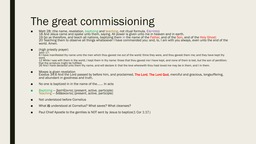# The great commissioning

- Matt 28: (the name, revelation, baptizing and teaching, not ritual formula, Eis=into) 18 And Jesus came and spake unto them, saying, All power is given unto me in heaven and in earth. 19 Go ye therefore, and teach all nations, baptizing them in the name of the Father, and of the Son, and of the Holy Ghost: 20 Teaching them to observe all things whatsoever I have commanded you: and, lo, I am with you always, even unto the end of the world. Amen.
- (high priestly prayer)

 $John 17:$ 

6 I have manifested thy name unto the men which thou gavest me out of the world: thine they were, and thou gavest them me; and they have kept thy word.

12 While I was with them in the world, I kept them in thy name: those that thou gavest me I have kept, and none of them is lost, but the son of perdition; that the scripture might be fulfilled.

26 And I have declared unto them thy name, and will declare it: that the love wherewith thou hast loved me may be in them, and I in them.

- Moses is given revelation Exodus 34:6 And the Lord passed by before him, and proclaimed, The Lord, The Lord God, merciful and gracious, longsuffering, and abundant in goodness and truth,
- No one is baptized in in the name of the *......*. In acts
- Baptizing βαπτίζοντες (present, active, participle) Teaching — διδάσκοντες (present, active, participle)
- Not understood before Cornelius
- What IS understood at Cornelius? What saves? What cleanses?
- Paul Chief Apostle to the gentiles is NOT sent by Jesus to baptize(1 Cor 1:17.)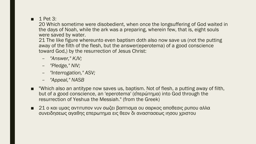#### $\blacksquare$  1 Pet 3:

20 Which sometime were disobedient, when once the longsuffering of God waited in the days of Noah, while the ark was a preparing, wherein few, that is, eight souls were saved by water.

21 The like figure whereunto even baptism doth also now save us (not the putting away of the filth of the flesh, but the answer(eperotema) of a good conscience toward God,) by the resurrection of Jesus Christ:

- *"Answer," KJV;*
- *"Pledge," NIV;*
- *"Interrogation," ASV;*
- *"Appeal," NASB*
- Which also an antitype now saves us, baptism. Not of flesh, a putting away of filth, but of a good conscience, an 'eperotema' (ἐπερώτηµα) into God through the resurrection of Yeshua the Messiah." (from the Greek)
- 21 ο και υµας αντιτυπον νυν σωζει βαπτισµα ου σαρκος αποθεσις ρυπου αλλα συνειδησεως αγαθης επερωτηµα εις θεον δι αναστασεως ιησου χριστου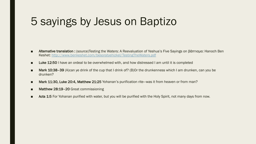## 5 sayings by Jesus on Baptizo

- Alternative translation : (source)Testing the Waters: A Reevaluation of Yeshua's Five Sayings on βάπτισμα: Hanoch Ben Keshet:<http://www.benkeshet.com/besoratyehizkel/TestingTheWaters.pdf>
- Luke 12:50 I have an ordeal to be overwhelmed with, and how distressed I am until it is completed
- Mark 10:38–39 (A)can ye drink of the cup that I drink of? (B)Or the drunkenness which I am drunken, can you be drunken?
- Mark 11:30, Luke 20:4, Matthew 21:25 Yohanan's purification rite—was it from heaven or from man?
- Matthew 28:19-20 Great commissioning
- Acts 1:5 For Yohanan purified with water, but you will be purified with the Holy Spirit, not many days from now.